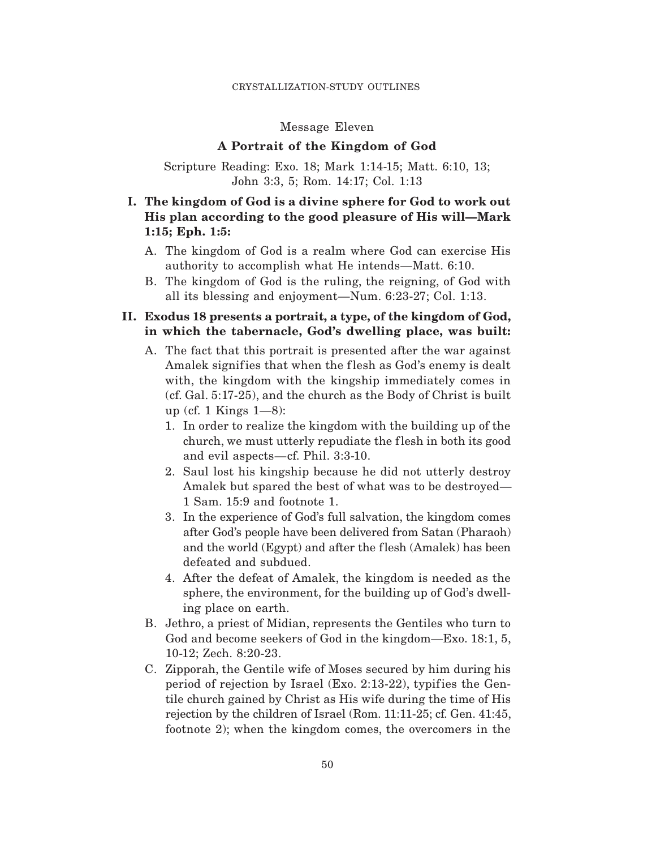#### Message Eleven

#### **A Portrait of the Kingdom of God**

Scripture Reading: Exo. 18; Mark 1:14-15; Matt. 6:10, 13; John 3:3, 5; Rom. 14:17; Col. 1:13

# **I. The kingdom of God is a divine sphere for God to work out His plan according to the good pleasure of His will—Mark 1:15; Eph. 1:5:**

- A. The kingdom of God is a realm where God can exercise His authority to accomplish what He intends—Matt. 6:10.
- B. The kingdom of God is the ruling, the reigning, of God with all its blessing and enjoyment—Num. 6:23-27; Col. 1:13.

### **II. Exodus 18 presents a portrait, a type, of the kingdom of God, in which the tabernacle, God's dwelling place, was built:**

- A. The fact that this portrait is presented after the war against Amalek signifies that when the flesh as God's enemy is dealt with, the kingdom with the kingship immediately comes in (cf. Gal. 5:17-25), and the church as the Body of Christ is built up (cf. 1 Kings  $1-8$ ):
	- 1. In order to realize the kingdom with the building up of the church, we must utterly repudiate the f lesh in both its good and evil aspects—cf. Phil. 3:3-10.
	- 2. Saul lost his kingship because he did not utterly destroy Amalek but spared the best of what was to be destroyed— 1 Sam. 15:9 and footnote 1.
	- 3. In the experience of God's full salvation, the kingdom comes after God's people have been delivered from Satan (Pharaoh) and the world (Egypt) and after the flesh (Amalek) has been defeated and subdued.
	- 4. After the defeat of Amalek, the kingdom is needed as the sphere, the environment, for the building up of God's dwelling place on earth.
- B. Jethro, a priest of Midian, represents the Gentiles who turn to God and become seekers of God in the kingdom—Exo. 18:1, 5, 10-12; Zech. 8:20-23.
- C. Zipporah, the Gentile wife of Moses secured by him during his period of rejection by Israel (Exo. 2:13-22), typifies the Gentile church gained by Christ as His wife during the time of His rejection by the children of Israel (Rom. 11:11-25; cf. Gen. 41:45, footnote 2); when the kingdom comes, the overcomers in the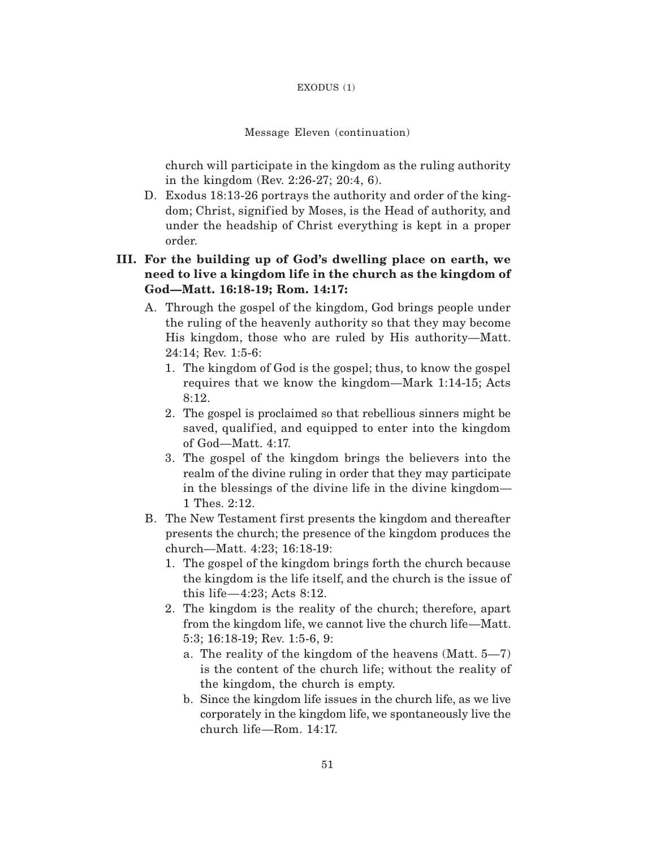#### EXODUS (1)

#### Message Eleven (continuation)

church will participate in the kingdom as the ruling authority in the kingdom (Rev. 2:26-27; 20:4, 6).

D. Exodus 18:13-26 portrays the authority and order of the kingdom; Christ, signified by Moses, is the Head of authority, and under the headship of Christ everything is kept in a proper order.

## **III. For the building up of God's dwelling place on earth, we need to live a kingdom life in the church as the kingdom of God—Matt. 16:18-19; Rom. 14:17:**

- A. Through the gospel of the kingdom, God brings people under the ruling of the heavenly authority so that they may become His kingdom, those who are ruled by His authority—Matt. 24:14; Rev. 1:5-6:
	- 1. The kingdom of God is the gospel; thus, to know the gospel requires that we know the kingdom—Mark 1:14-15; Acts 8:12.
	- 2. The gospel is proclaimed so that rebellious sinners might be saved, qualified, and equipped to enter into the kingdom of God—Matt. 4:17.
	- 3. The gospel of the kingdom brings the believers into the realm of the divine ruling in order that they may participate in the blessings of the divine life in the divine kingdom— 1 Thes. 2:12.
- B. The New Testament first presents the kingdom and thereafter presents the church; the presence of the kingdom produces the church—Matt. 4:23; 16:18-19:
	- 1. The gospel of the kingdom brings forth the church because the kingdom is the life itself, and the church is the issue of this life—4:23; Acts 8:12.
	- 2. The kingdom is the reality of the church; therefore, apart from the kingdom life, we cannot live the church life—Matt. 5:3; 16:18-19; Rev. 1:5-6, 9:
		- a. The reality of the kingdom of the heavens (Matt. 5—7) is the content of the church life; without the reality of the kingdom, the church is empty.
		- b. Since the kingdom life issues in the church life, as we live corporately in the kingdom life, we spontaneously live the church life—Rom. 14:17.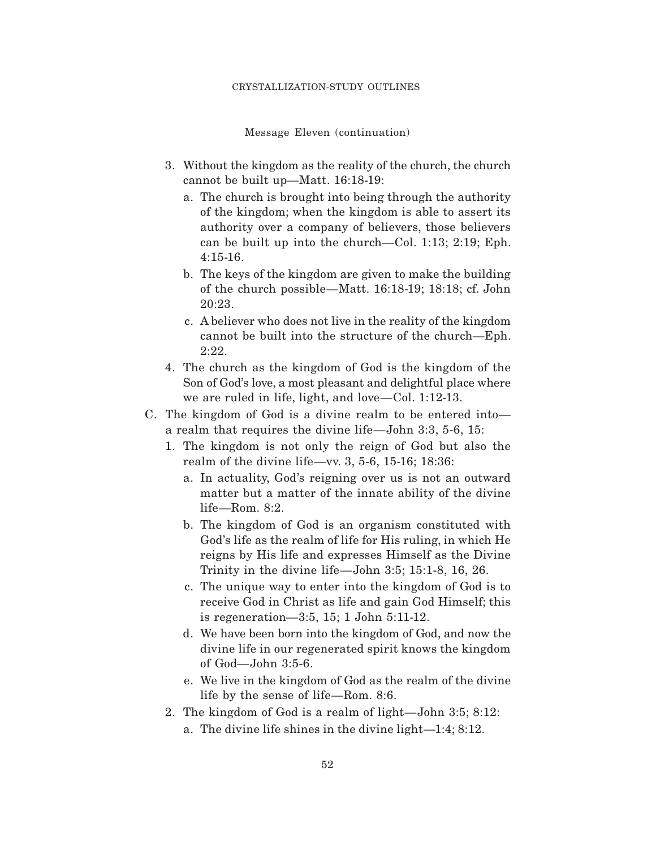Message Eleven (continuation)

- 3. Without the kingdom as the reality of the church, the church cannot be built up—Matt. 16:18-19:
	- a. The church is brought into being through the authority of the kingdom; when the kingdom is able to assert its authority over a company of believers, those believers can be built up into the church—Col. 1:13; 2:19; Eph. 4:15-16.
	- b. The keys of the kingdom are given to make the building of the church possible—Matt. 16:18-19; 18:18; cf. John 20:23.
	- c. A believer who does not live in the reality of the kingdom cannot be built into the structure of the church—Eph. 2:22.
- 4. The church as the kingdom of God is the kingdom of the Son of God's love, a most pleasant and delightful place where we are ruled in life, light, and love—Col. 1:12-13.
- C. The kingdom of God is a divine realm to be entered into a realm that requires the divine life—John 3:3, 5-6, 15:
	- 1. The kingdom is not only the reign of God but also the realm of the divine life—vv. 3, 5-6, 15-16; 18:36:
		- a. In actuality, God's reigning over us is not an outward matter but a matter of the innate ability of the divine life—Rom. 8:2.
		- b. The kingdom of God is an organism constituted with God's life as the realm of life for His ruling, in which He reigns by His life and expresses Himself as the Divine Trinity in the divine life—John 3:5; 15:1-8, 16, 26.
		- c. The unique way to enter into the kingdom of God is to receive God in Christ as life and gain God Himself; this is regeneration—3:5, 15; 1 John 5:11-12.
		- d. We have been born into the kingdom of God, and now the divine life in our regenerated spirit knows the kingdom of God—John 3:5-6.
		- e. We live in the kingdom of God as the realm of the divine life by the sense of life—Rom. 8:6.
	- 2. The kingdom of God is a realm of light—John 3:5; 8:12:
		- a. The divine life shines in the divine light—1:4; 8:12.